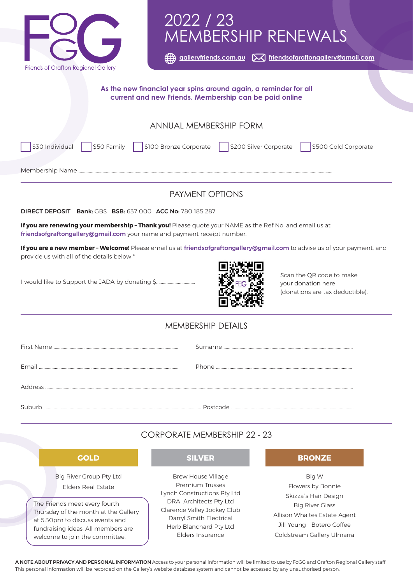

# 2022 / 23 MEMBERSHIP RENEWALS

 **[galleryfriends.com.au](http://galleryfriends.com.au) [friendsofgraftongallery@gmail.com](mailto:friendsofgraftongallery%40gmail.com?subject=)**

#### **As the new financial year spins around again, a reminder for all current and new Friends. Membership can be paid online**

### ANNUAL MEMBERSHIP FORM

\$30 Individual \\$50 Family \\$100 Bronze Corporate \\$200 Silver Corporate \\$500 Gold Corporate

Membership Name ......

# PAYMENT OPTIONS

DIRECT DEPOSIT Bank: GBS BSB: 637 000 ACC No: 780 185 287

**If you are renewing your membership – Thank you!** Please quote your NAME as the Ref No, and email us at friendsofgraftongallery@gmail.com your name and payment receipt number.

**If you are a new member – Welcome!** Please email us at friendsofgraftongallery@gmail.com to advise us of your payment, and provide us with all of the details below \*

I would like to Support the JADA by donating \$.

fundraising ideas. All members are welcome to join the committee.



Scan the QR code to make your donation here (donations are tax deductible).

## MEMBERSHIP DETAILS

|                | Surname  |
|----------------|----------|
| <b>Email</b>   |          |
| <b>Address</b> |          |
| Subur          | Postcode |

# CORPORATE MEMBERSHIP 22 - 23

| <b>GOLD</b>                                                             | <b>SILVER</b>                                         | <b>BRONZE</b>                     |
|-------------------------------------------------------------------------|-------------------------------------------------------|-----------------------------------|
| <b>Big River Group Pty Ltd</b>                                          | <b>Brew House Village</b>                             | Big W                             |
| <b>Elders Real Estate</b>                                               | <b>Premium Trusses</b>                                | Flowers by Bonnie                 |
|                                                                         | Lynch Constructions Pty Ltd                           | Skizza"s Hair Design              |
| The Friends meet every fourth                                           | DRA Architects Pty Ltd<br>Clarence Valley Jockey Club | <b>Big River Glass</b>            |
| Thursday of the month at the Gallery<br>at 5:30pm to discuss events and | Darryl Smith Electrical                               | Allison Whaites Estate Agent<br>_ |

Jill Young - Botero Coffee

Coldstream Gallery Ulmarra

A NOTE ABOUT PRIVACY AND PERSONAL INFORMATION Access to your personal information will be limited to use by FoGG and Grafton Regional Gallery staff. This personal information will be recorded on the Gallery's website database system and cannot be accessed by any unauthorised person.

Herb Blanchard Pty Ltd Elders Insurance